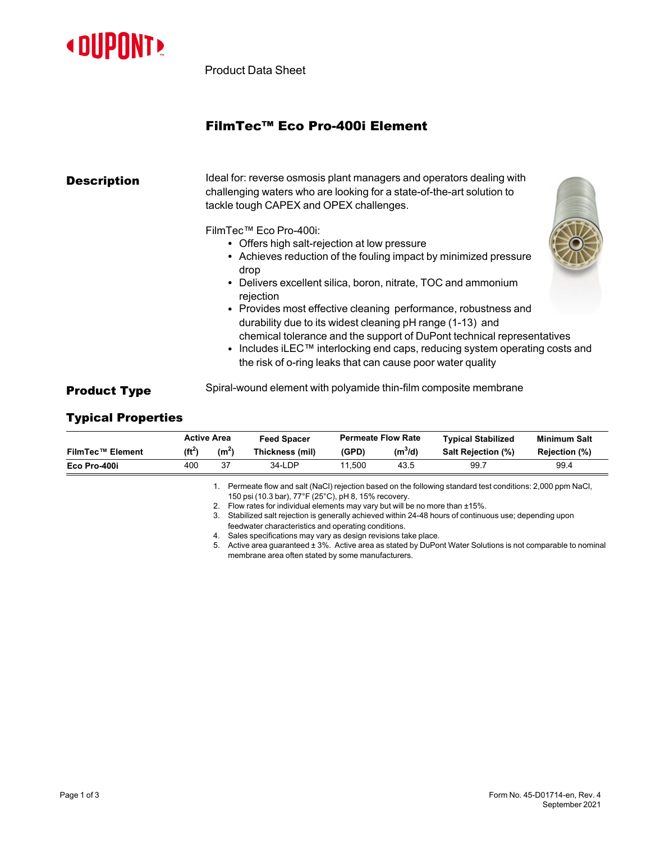

Product Data Sheet

## FilmTec™ Eco Pro-400i Element

| <b>Description</b> | Ideal for: reverse osmosis plant managers and operators dealing with<br>challenging waters who are looking for a state-of-the-art solution to<br>tackle tough CAPEX and OPEX challenges.                                                                                                                                                                                                                                                                                                                                                                                                           |
|--------------------|----------------------------------------------------------------------------------------------------------------------------------------------------------------------------------------------------------------------------------------------------------------------------------------------------------------------------------------------------------------------------------------------------------------------------------------------------------------------------------------------------------------------------------------------------------------------------------------------------|
|                    | FilmTec™ Eco Pro-400i:<br>• Offers high salt-rejection at low pressure<br>• Achieves reduction of the fouling impact by minimized pressure<br>drop<br>• Delivers excellent silica, boron, nitrate, TOC and ammonium<br>rejection<br>• Provides most effective cleaning performance, robustness and<br>durability due to its widest cleaning pH range (1-13) and<br>chemical tolerance and the support of DuPont technical representatives<br>• Includes iLEC <sup>™</sup> interlocking end caps, reducing system operating costs and<br>the risk of o-ring leaks that can cause poor water quality |
|                    |                                                                                                                                                                                                                                                                                                                                                                                                                                                                                                                                                                                                    |

### **Product Type** Spiral-wound element with polyamide thin-film composite membrane

### Typical Properties

|                         | <b>Active Area</b> |                   | <b>Feed Spacer</b> | <b>Permeate Flow Rate</b> |           | <b>Typical Stabilized</b>                                                                               | Minimum Salt  |  |
|-------------------------|--------------------|-------------------|--------------------|---------------------------|-----------|---------------------------------------------------------------------------------------------------------|---------------|--|
| <b>FilmTec™ Element</b> | $(f t^2)$          | (m <sup>2</sup> ) | Thickness (mil)    | (GPD)                     | $(m^3/d)$ | <b>Salt Rejection (%)</b>                                                                               | Rejection (%) |  |
| Eco Pro-400i            | 400                | 37                | 34-LDP             | 11.500                    | 43.5      | 99.7                                                                                                    | 99.4          |  |
|                         |                    |                   |                    |                           |           | Permeate flow and salt (NaCl) rejection based on the following standard test conditions: 2,000 ppm NaCl |               |  |

1. Permeate flow and salt (NaCl) rejection based on the following standard test conditions: 2,000 ppm NaCl, 150 psi (10.3 bar), 77°F (25°C), pH 8, 15% recovery.

- 2. Flow rates for individual elements may vary but will be no more than ±15%.
- 3. Stabilized salt rejection is generally achieved within 24-48 hours of continuous use; depending upon feedwater characteristics and operating conditions.

4. Sales specifications may vary as design revisions take place.

5. Active area guaranteed ± 3%. Active area as stated by DuPont Water Solutions is not comparable to nominal membrane area often stated by some manufacturers.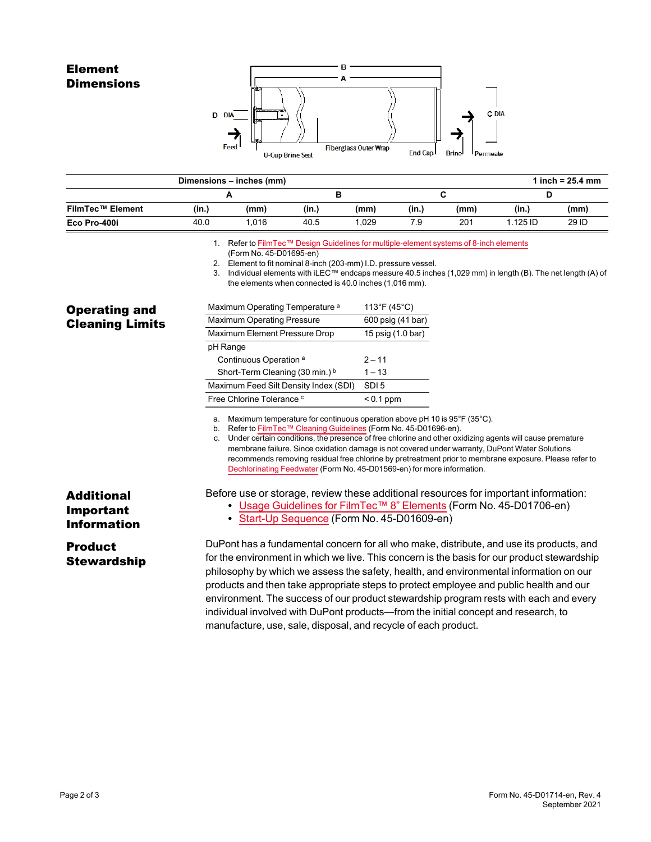#### Element **Dimensions**



| Dimensions - inches (mm)                                                           |                               |                                       |                                                                                                                                                                                                                                                                                                                                          |       |       |      |          | 1 inch = $25.4 \, \text{mm}$ |  |
|------------------------------------------------------------------------------------|-------------------------------|---------------------------------------|------------------------------------------------------------------------------------------------------------------------------------------------------------------------------------------------------------------------------------------------------------------------------------------------------------------------------------------|-------|-------|------|----------|------------------------------|--|
|                                                                                    | A                             |                                       | в                                                                                                                                                                                                                                                                                                                                        |       |       | C    |          | D                            |  |
| <b>FilmTec™ Element</b>                                                            | (in.)                         | (mm)                                  | (in.)                                                                                                                                                                                                                                                                                                                                    | (mm)  | (in.) | (mm) | (in.)    | (mm)                         |  |
| Eco Pro-400i                                                                       | 40.0                          | 1,016                                 | 40.5                                                                                                                                                                                                                                                                                                                                     | 1,029 | 7.9   | 201  | 1.125 ID | 29 ID                        |  |
|                                                                                    | 1.<br>3.                      | (Form No. 45-D01695-en)               | Refer to FilmTec™ Design Guidelines for multiple-element systems of 8-inch elements<br>Element to fit nominal 8-inch (203-mm) I.D. pressure vessel.<br>Individual elements with iLEC <sup>TM</sup> endcaps measure 40.5 inches (1,029 mm) in length (B). The net length (A) of<br>the elements when connected is 40.0 inches (1,016 mm). |       |       |      |          |                              |  |
| Maximum Operating Temperature <sup>a</sup><br>113°F (45°C)<br><b>Operating and</b> |                               |                                       |                                                                                                                                                                                                                                                                                                                                          |       |       |      |          |                              |  |
| <b>Cleaning Limits</b>                                                             | Maximum Operating Pressure    |                                       | 600 psig (41 bar)                                                                                                                                                                                                                                                                                                                        |       |       |      |          |                              |  |
|                                                                                    | Maximum Element Pressure Drop | 15 psig (1.0 bar)                     |                                                                                                                                                                                                                                                                                                                                          |       |       |      |          |                              |  |
|                                                                                    | pH Range                      |                                       |                                                                                                                                                                                                                                                                                                                                          |       |       |      |          |                              |  |
|                                                                                    |                               | Continuous Operation <sup>a</sup>     | $2 - 11$                                                                                                                                                                                                                                                                                                                                 |       |       |      |          |                              |  |
|                                                                                    |                               | Short-Term Cleaning (30 min.) b       | $1 - 13$                                                                                                                                                                                                                                                                                                                                 |       |       |      |          |                              |  |
|                                                                                    |                               | Maximum Feed Silt Density Index (SDI) | SDI <sub>5</sub>                                                                                                                                                                                                                                                                                                                         |       |       |      |          |                              |  |
|                                                                                    | Free Chlorine Tolerance c     | $< 0.1$ ppm                           |                                                                                                                                                                                                                                                                                                                                          |       |       |      |          |                              |  |

membrane failure. Since oxidation damage is not covered under warranty, DuPont Water Solutions recommends removing residual free chlorine by pretreatment prior to membrane exposure. Please refer to [Dechlorinating](https://www.dupont.com/content/dam/dupont/amer/us/en/water-solutions/public/documents/en/RO-NF-FilmTec-Chlorination-Dechlorination-Manual-Exc-45-D01569-en.pdf) Feedwater (Form No. 45-D01569-en) for more information.

#### Additional Important Information

# Product

**Stewardship** 

Before use or storage, review these additional resources for important information:

- Usage [Guidelines](https://www.dupont.com/content/dam/dupont/amer/us/en/water-solutions/public/documents/en/45-D01706-en.pdf) for FilmTec™ 8" Elements (Form No. 45-D01706-en)
	- Start-Up [Sequence](https://www.dupont.com/content/dam/dupont/amer/us/en/water-solutions/public/documents/en/RO-NF-FilmTec-Start-Up-Sequence-Manual-Exc-45-D01609-en.pdf) (Form No. 45-D01609-en)

DuPont has a fundamental concern for all who make, distribute, and use its products, and for the environment in which we live. This concern is the basis for our product stewardship philosophy by which we assess the safety, health, and environmental information on our products and then take appropriate steps to protect employee and public health and our environment. The success of our product stewardship program rests with each and every individual involved with DuPont products—from the initial concept and research, to manufacture, use, sale, disposal, and recycle of each product.